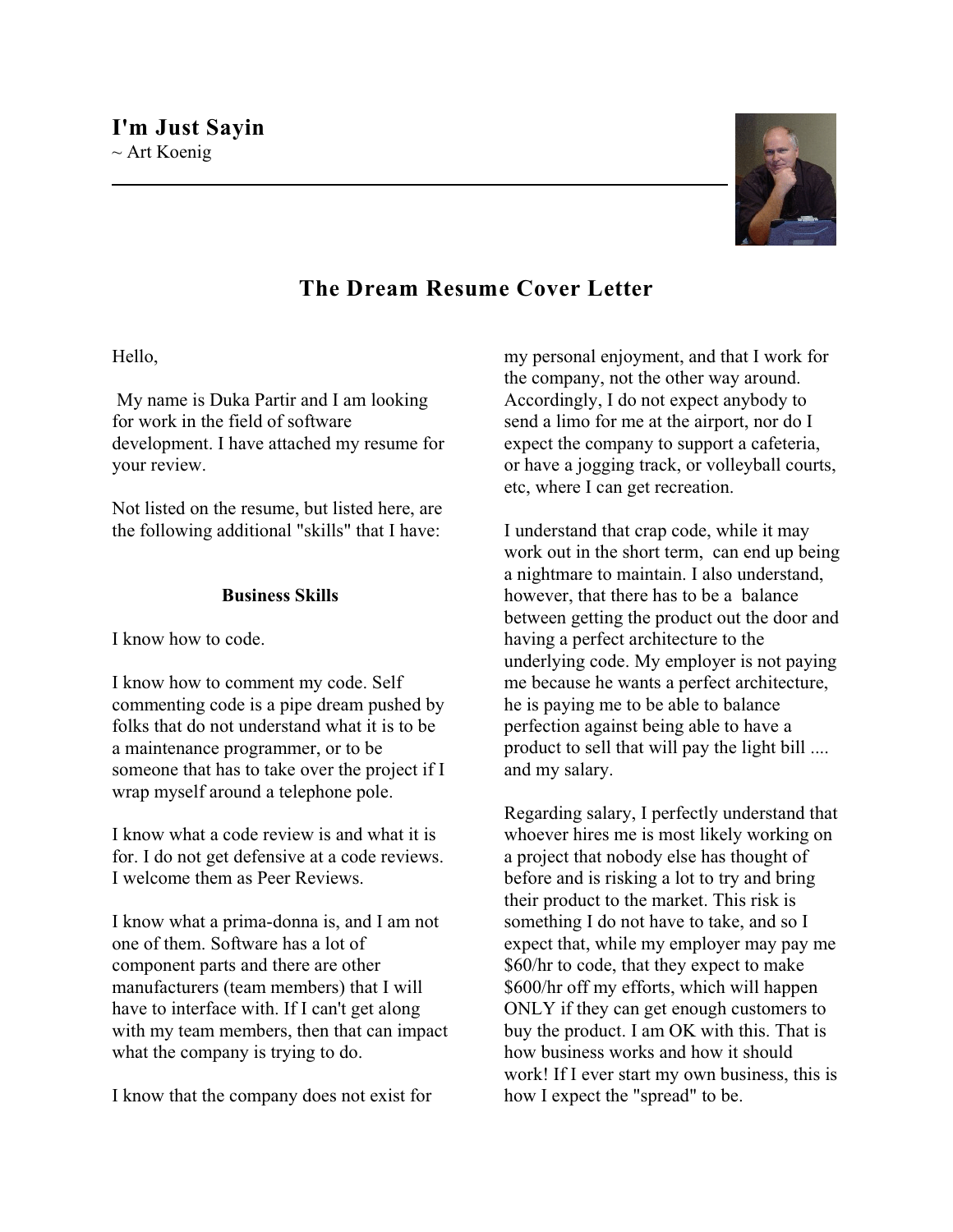

## **The Dream Resume Cover Letter**

## Hello,

 My name is Duka Partir and I am looking for work in the field of software development. I have attached my resume for your review.

Not listed on the resume, but listed here, are the following additional "skills" that I have:

## **Business Skills**

I know how to code.

I know how to comment my code. Self commenting code is a pipe dream pushed by folks that do not understand what it is to be a maintenance programmer, or to be someone that has to take over the project if I wrap myself around a telephone pole.

I know what a code review is and what it is for. I do not get defensive at a code reviews. I welcome them as Peer Reviews.

I know what a prima-donna is, and I am not one of them. Software has a lot of component parts and there are other manufacturers (team members) that I will have to interface with. If I can't get along with my team members, then that can impact what the company is trying to do.

I know that the company does not exist for

my personal enjoyment, and that I work for the company, not the other way around. Accordingly, I do not expect anybody to send a limo for me at the airport, nor do I expect the company to support a cafeteria, or have a jogging track, or volleyball courts, etc, where I can get recreation.

I understand that crap code, while it may work out in the short term, can end up being a nightmare to maintain. I also understand, however, that there has to be a balance between getting the product out the door and having a perfect architecture to the underlying code. My employer is not paying me because he wants a perfect architecture, he is paying me to be able to balance perfection against being able to have a product to sell that will pay the light bill .... and my salary.

Regarding salary, I perfectly understand that whoever hires me is most likely working on a project that nobody else has thought of before and is risking a lot to try and bring their product to the market. This risk is something I do not have to take, and so I expect that, while my employer may pay me \$60/hr to code, that they expect to make \$600/hr off my efforts, which will happen ONLY if they can get enough customers to buy the product. I am OK with this. That is how business works and how it should work! If I ever start my own business, this is how I expect the "spread" to be.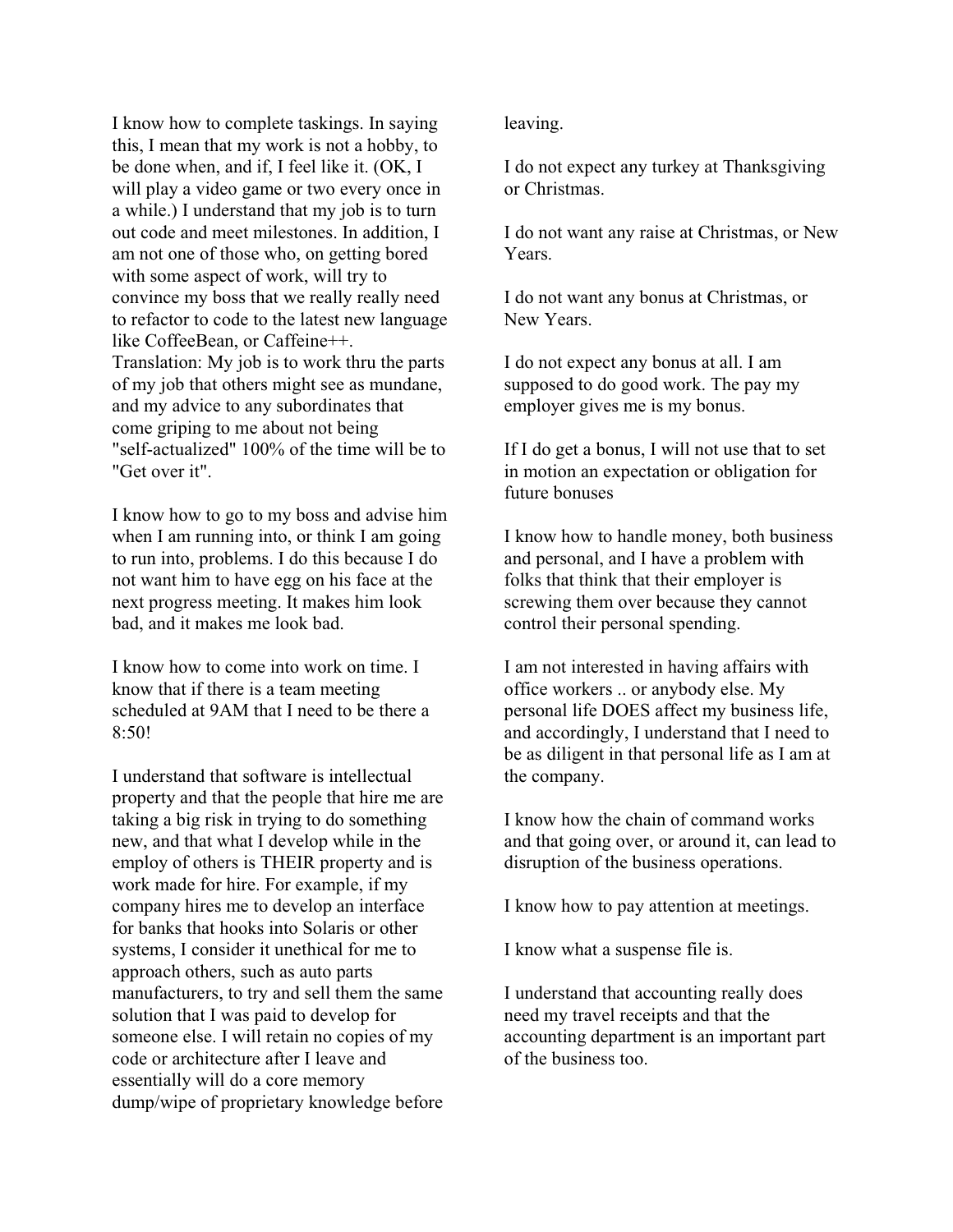I know how to complete taskings. In saying this, I mean that my work is not a hobby, to be done when, and if, I feel like it. (OK, I will play a video game or two every once in a while.) I understand that my job is to turn out code and meet milestones. In addition, I am not one of those who, on getting bored with some aspect of work, will try to convince my boss that we really really need to refactor to code to the latest new language like CoffeeBean, or Caffeine++. Translation: My job is to work thru the parts of my job that others might see as mundane, and my advice to any subordinates that come griping to me about not being "self-actualized" 100% of the time will be to "Get over it".

I know how to go to my boss and advise him when I am running into, or think I am going to run into, problems. I do this because I do not want him to have egg on his face at the next progress meeting. It makes him look bad, and it makes me look bad.

I know how to come into work on time. I know that if there is a team meeting scheduled at 9AM that I need to be there a  $8.50!$ 

I understand that software is intellectual property and that the people that hire me are taking a big risk in trying to do something new, and that what I develop while in the employ of others is THEIR property and is work made for hire. For example, if my company hires me to develop an interface for banks that hooks into Solaris or other systems, I consider it unethical for me to approach others, such as auto parts manufacturers, to try and sell them the same solution that I was paid to develop for someone else. I will retain no copies of my code or architecture after I leave and essentially will do a core memory dump/wipe of proprietary knowledge before leaving.

I do not expect any turkey at Thanksgiving or Christmas.

I do not want any raise at Christmas, or New Years.

I do not want any bonus at Christmas, or New Years.

I do not expect any bonus at all. I am supposed to do good work. The pay my employer gives me is my bonus.

If I do get a bonus, I will not use that to set in motion an expectation or obligation for future bonuses

I know how to handle money, both business and personal, and I have a problem with folks that think that their employer is screwing them over because they cannot control their personal spending.

I am not interested in having affairs with office workers .. or anybody else. My personal life DOES affect my business life, and accordingly, I understand that I need to be as diligent in that personal life as I am at the company.

I know how the chain of command works and that going over, or around it, can lead to disruption of the business operations.

I know how to pay attention at meetings.

I know what a suspense file is.

I understand that accounting really does need my travel receipts and that the accounting department is an important part of the business too.